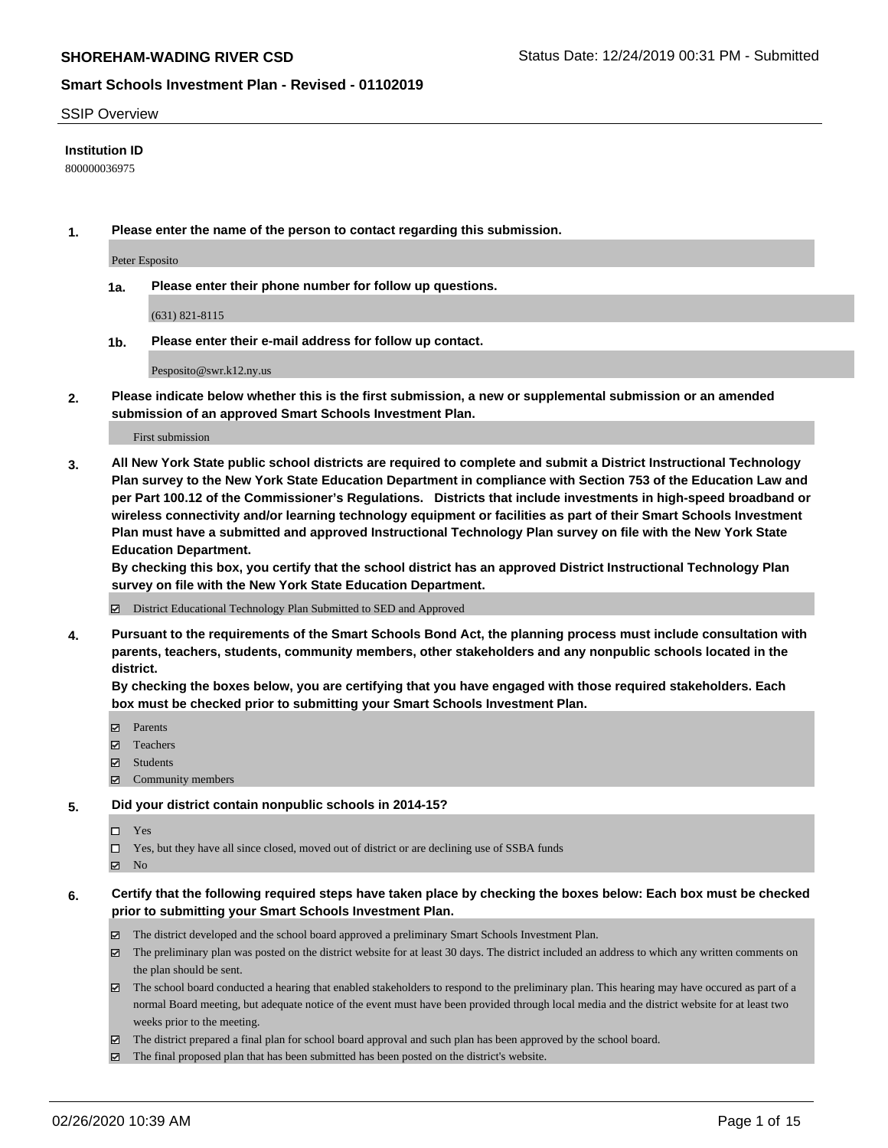#### SSIP Overview

### **Institution ID**

800000036975

**1. Please enter the name of the person to contact regarding this submission.**

Peter Esposito

**1a. Please enter their phone number for follow up questions.**

(631) 821-8115

**1b. Please enter their e-mail address for follow up contact.**

Pesposito@swr.k12.ny.us

**2. Please indicate below whether this is the first submission, a new or supplemental submission or an amended submission of an approved Smart Schools Investment Plan.**

#### First submission

**3. All New York State public school districts are required to complete and submit a District Instructional Technology Plan survey to the New York State Education Department in compliance with Section 753 of the Education Law and per Part 100.12 of the Commissioner's Regulations. Districts that include investments in high-speed broadband or wireless connectivity and/or learning technology equipment or facilities as part of their Smart Schools Investment Plan must have a submitted and approved Instructional Technology Plan survey on file with the New York State Education Department.** 

**By checking this box, you certify that the school district has an approved District Instructional Technology Plan survey on file with the New York State Education Department.**

District Educational Technology Plan Submitted to SED and Approved

**4. Pursuant to the requirements of the Smart Schools Bond Act, the planning process must include consultation with parents, teachers, students, community members, other stakeholders and any nonpublic schools located in the district.** 

**By checking the boxes below, you are certifying that you have engaged with those required stakeholders. Each box must be checked prior to submitting your Smart Schools Investment Plan.**

- **マ** Parents
- Teachers
- Students
- $\Xi$  Community members

#### **5. Did your district contain nonpublic schools in 2014-15?**

 $\neg$  Yes

Yes, but they have all since closed, moved out of district or are declining use of SSBA funds

**Z** No

### **6. Certify that the following required steps have taken place by checking the boxes below: Each box must be checked prior to submitting your Smart Schools Investment Plan.**

- The district developed and the school board approved a preliminary Smart Schools Investment Plan.
- $\boxtimes$  The preliminary plan was posted on the district website for at least 30 days. The district included an address to which any written comments on the plan should be sent.
- $\boxtimes$  The school board conducted a hearing that enabled stakeholders to respond to the preliminary plan. This hearing may have occured as part of a normal Board meeting, but adequate notice of the event must have been provided through local media and the district website for at least two weeks prior to the meeting.
- The district prepared a final plan for school board approval and such plan has been approved by the school board.
- $\boxtimes$  The final proposed plan that has been submitted has been posted on the district's website.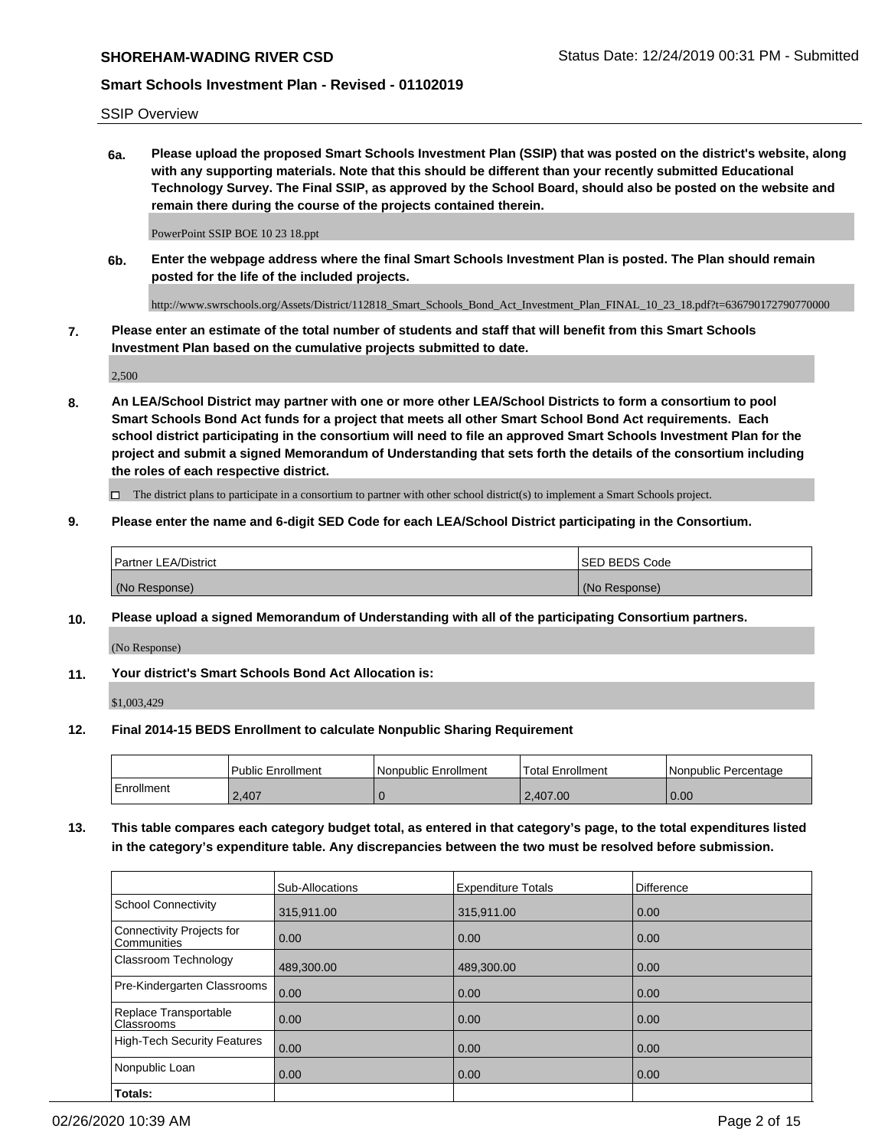SSIP Overview

**6a. Please upload the proposed Smart Schools Investment Plan (SSIP) that was posted on the district's website, along with any supporting materials. Note that this should be different than your recently submitted Educational Technology Survey. The Final SSIP, as approved by the School Board, should also be posted on the website and remain there during the course of the projects contained therein.**

PowerPoint SSIP BOE 10 23 18.ppt

**6b. Enter the webpage address where the final Smart Schools Investment Plan is posted. The Plan should remain posted for the life of the included projects.**

http://www.swrschools.org/Assets/District/112818\_Smart\_Schools\_Bond\_Act\_Investment\_Plan\_FINAL\_10\_23\_18.pdf?t=636790172790770000

**7. Please enter an estimate of the total number of students and staff that will benefit from this Smart Schools Investment Plan based on the cumulative projects submitted to date.**

2,500

**8. An LEA/School District may partner with one or more other LEA/School Districts to form a consortium to pool Smart Schools Bond Act funds for a project that meets all other Smart School Bond Act requirements. Each school district participating in the consortium will need to file an approved Smart Schools Investment Plan for the project and submit a signed Memorandum of Understanding that sets forth the details of the consortium including the roles of each respective district.**

 $\Box$  The district plans to participate in a consortium to partner with other school district(s) to implement a Smart Schools project.

## **9. Please enter the name and 6-digit SED Code for each LEA/School District participating in the Consortium.**

| Partner LEA/District | <b>ISED BEDS Code</b> |
|----------------------|-----------------------|
| (No Response)        | (No Response)         |

## **10. Please upload a signed Memorandum of Understanding with all of the participating Consortium partners.**

(No Response)

## **11. Your district's Smart Schools Bond Act Allocation is:**

\$1,003,429

#### **12. Final 2014-15 BEDS Enrollment to calculate Nonpublic Sharing Requirement**

|            | Public Enrollment | Nonpublic Enrollment | Total Enrollment | Nonpublic Percentage |
|------------|-------------------|----------------------|------------------|----------------------|
| Enrollment | 2.407             |                      | 2.407.00         | 0.00                 |

**13. This table compares each category budget total, as entered in that category's page, to the total expenditures listed in the category's expenditure table. Any discrepancies between the two must be resolved before submission.**

|                                          | Sub-Allocations | <b>Expenditure Totals</b> | <b>Difference</b> |
|------------------------------------------|-----------------|---------------------------|-------------------|
| <b>School Connectivity</b>               | 315,911.00      | 315,911.00                | 0.00              |
| Connectivity Projects for<br>Communities | 0.00            | 0.00                      | 0.00              |
| Classroom Technology                     | 489,300.00      | 489,300.00                | 0.00              |
| Pre-Kindergarten Classrooms              | 0.00            | 0.00                      | 0.00              |
| Replace Transportable<br>Classrooms      | 0.00            | 0.00                      | 0.00              |
| High-Tech Security Features              | 0.00            | 0.00                      | 0.00              |
| Nonpublic Loan                           | 0.00            | 0.00                      | 0.00              |
| Totals:                                  |                 |                           |                   |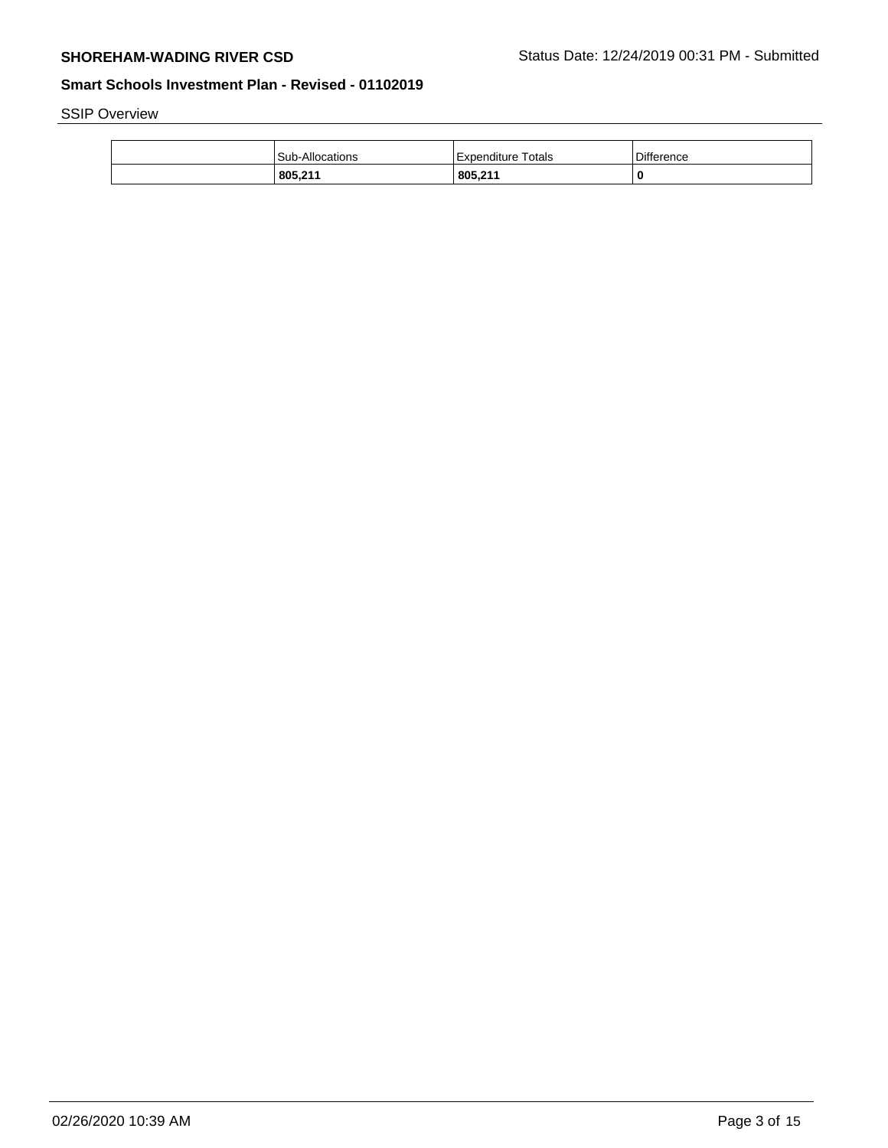SSIP Overview

| 805,211                | 805,211               | 0          |
|------------------------|-----------------------|------------|
| <b>Sub-Allocations</b> | Totals<br>Expenditure | Difference |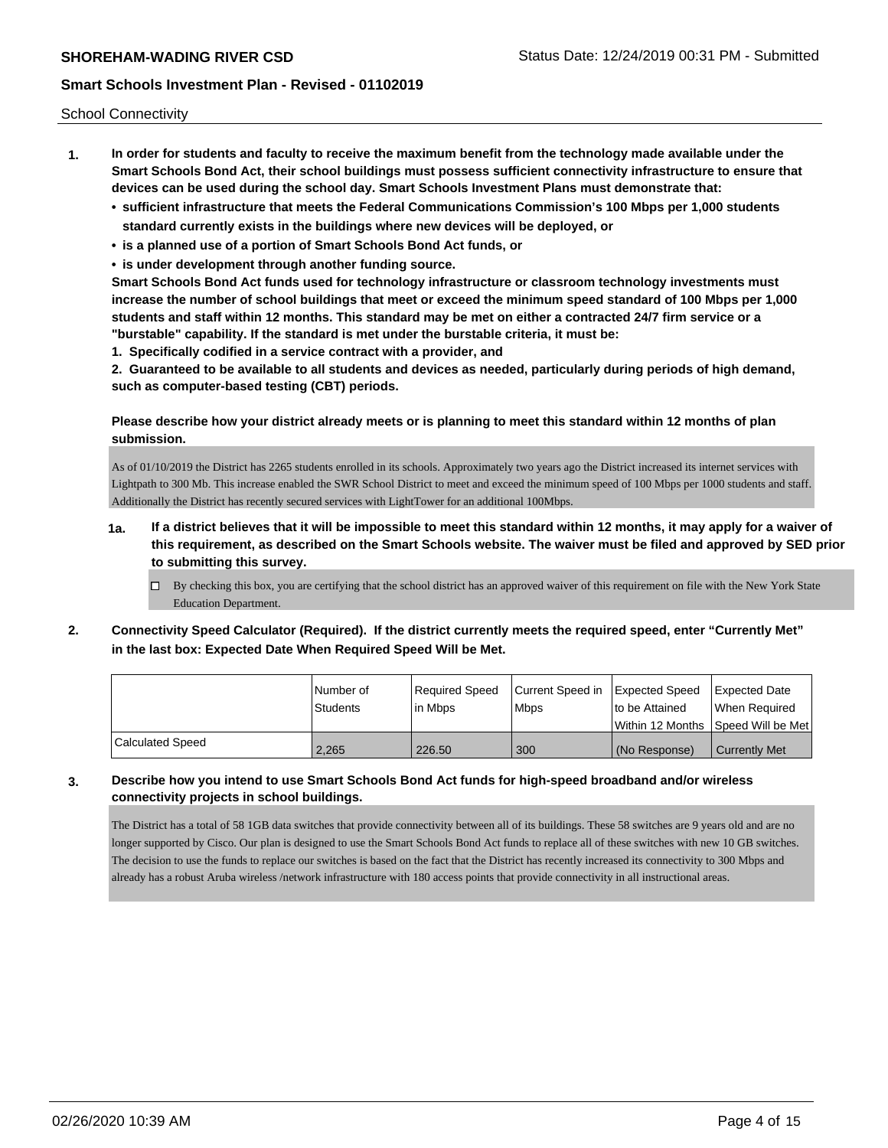School Connectivity

- **1. In order for students and faculty to receive the maximum benefit from the technology made available under the Smart Schools Bond Act, their school buildings must possess sufficient connectivity infrastructure to ensure that devices can be used during the school day. Smart Schools Investment Plans must demonstrate that:**
	- **• sufficient infrastructure that meets the Federal Communications Commission's 100 Mbps per 1,000 students standard currently exists in the buildings where new devices will be deployed, or**
	- **• is a planned use of a portion of Smart Schools Bond Act funds, or**
	- **• is under development through another funding source.**

**Smart Schools Bond Act funds used for technology infrastructure or classroom technology investments must increase the number of school buildings that meet or exceed the minimum speed standard of 100 Mbps per 1,000 students and staff within 12 months. This standard may be met on either a contracted 24/7 firm service or a "burstable" capability. If the standard is met under the burstable criteria, it must be:**

**1. Specifically codified in a service contract with a provider, and**

**2. Guaranteed to be available to all students and devices as needed, particularly during periods of high demand, such as computer-based testing (CBT) periods.**

## **Please describe how your district already meets or is planning to meet this standard within 12 months of plan submission.**

As of 01/10/2019 the District has 2265 students enrolled in its schools. Approximately two years ago the District increased its internet services with Lightpath to 300 Mb. This increase enabled the SWR School District to meet and exceed the minimum speed of 100 Mbps per 1000 students and staff. Additionally the District has recently secured services with LightTower for an additional 100Mbps.

- **1a. If a district believes that it will be impossible to meet this standard within 12 months, it may apply for a waiver of this requirement, as described on the Smart Schools website. The waiver must be filed and approved by SED prior to submitting this survey.**
	- $\Box$  By checking this box, you are certifying that the school district has an approved waiver of this requirement on file with the New York State Education Department.
- **2. Connectivity Speed Calculator (Required). If the district currently meets the required speed, enter "Currently Met" in the last box: Expected Date When Required Speed Will be Met.**

|                  | l Number of     | Required Speed | Current Speed in Expected Speed |                                     | Expected Date        |
|------------------|-----------------|----------------|---------------------------------|-------------------------------------|----------------------|
|                  | <b>Students</b> | l in Mbps      | <b>Mbps</b>                     | to be Attained                      | When Reauired        |
|                  |                 |                |                                 | Within 12 Months 1Speed Will be Met |                      |
| Calculated Speed | 2,265           | 226.50         | 300                             | (No Response)                       | <b>Currently Met</b> |

# **3. Describe how you intend to use Smart Schools Bond Act funds for high-speed broadband and/or wireless connectivity projects in school buildings.**

The District has a total of 58 1GB data switches that provide connectivity between all of its buildings. These 58 switches are 9 years old and are no longer supported by Cisco. Our plan is designed to use the Smart Schools Bond Act funds to replace all of these switches with new 10 GB switches. The decision to use the funds to replace our switches is based on the fact that the District has recently increased its connectivity to 300 Mbps and already has a robust Aruba wireless /network infrastructure with 180 access points that provide connectivity in all instructional areas.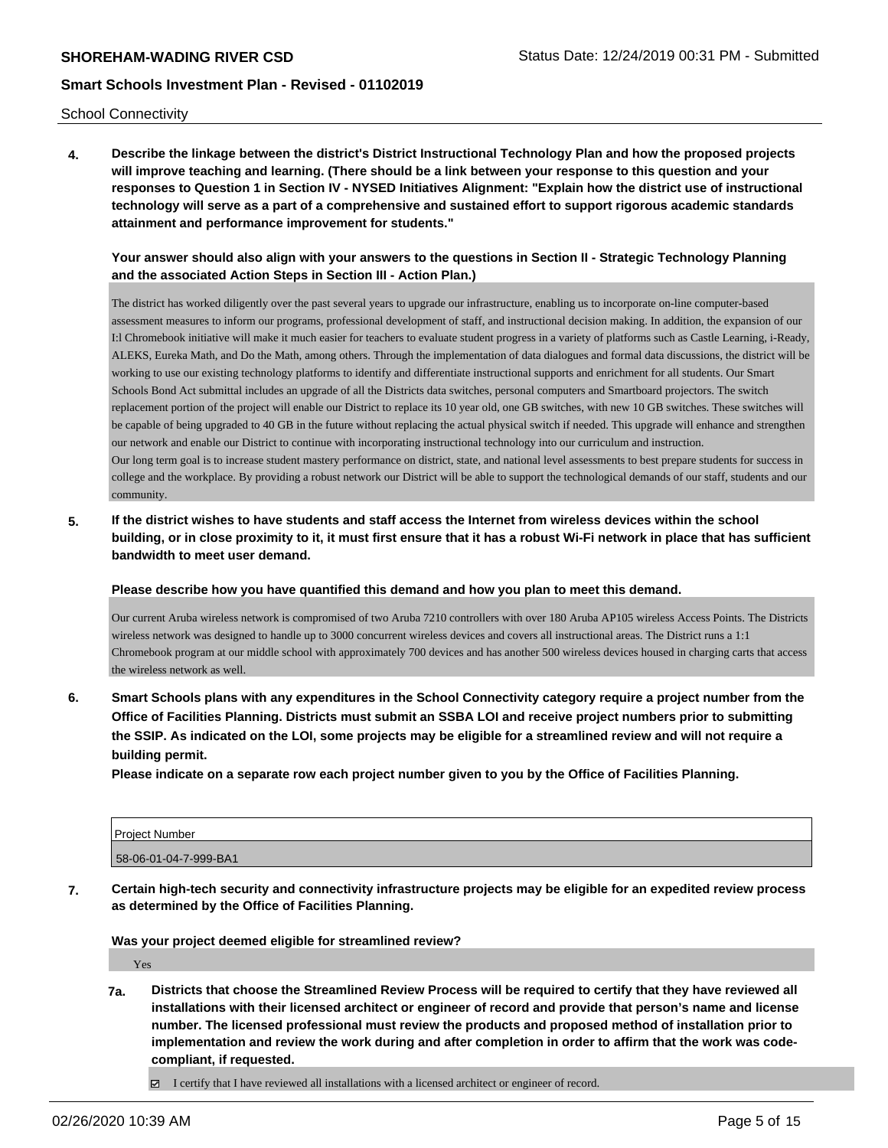School Connectivity

**4. Describe the linkage between the district's District Instructional Technology Plan and how the proposed projects will improve teaching and learning. (There should be a link between your response to this question and your responses to Question 1 in Section IV - NYSED Initiatives Alignment: "Explain how the district use of instructional technology will serve as a part of a comprehensive and sustained effort to support rigorous academic standards attainment and performance improvement for students."** 

## **Your answer should also align with your answers to the questions in Section II - Strategic Technology Planning and the associated Action Steps in Section III - Action Plan.)**

The district has worked diligently over the past several years to upgrade our infrastructure, enabling us to incorporate on-line computer-based assessment measures to inform our programs, professional development of staff, and instructional decision making. In addition, the expansion of our I:l Chromebook initiative will make it much easier for teachers to evaluate student progress in a variety of platforms such as Castle Learning, i-Ready, ALEKS, Eureka Math, and Do the Math, among others. Through the implementation of data dialogues and formal data discussions, the district will be working to use our existing technology platforms to identify and differentiate instructional supports and enrichment for all students. Our Smart Schools Bond Act submittal includes an upgrade of all the Districts data switches, personal computers and Smartboard projectors. The switch replacement portion of the project will enable our District to replace its 10 year old, one GB switches, with new 10 GB switches. These switches will be capable of being upgraded to 40 GB in the future without replacing the actual physical switch if needed. This upgrade will enhance and strengthen our network and enable our District to continue with incorporating instructional technology into our curriculum and instruction. Our long term goal is to increase student mastery performance on district, state, and national level assessments to best prepare students for success in college and the workplace. By providing a robust network our District will be able to support the technological demands of our staff, students and our community.

**5. If the district wishes to have students and staff access the Internet from wireless devices within the school building, or in close proximity to it, it must first ensure that it has a robust Wi-Fi network in place that has sufficient bandwidth to meet user demand.**

**Please describe how you have quantified this demand and how you plan to meet this demand.**

Our current Aruba wireless network is compromised of two Aruba 7210 controllers with over 180 Aruba AP105 wireless Access Points. The Districts wireless network was designed to handle up to 3000 concurrent wireless devices and covers all instructional areas. The District runs a 1:1 Chromebook program at our middle school with approximately 700 devices and has another 500 wireless devices housed in charging carts that access the wireless network as well.

**6. Smart Schools plans with any expenditures in the School Connectivity category require a project number from the Office of Facilities Planning. Districts must submit an SSBA LOI and receive project numbers prior to submitting the SSIP. As indicated on the LOI, some projects may be eligible for a streamlined review and will not require a building permit.**

**Please indicate on a separate row each project number given to you by the Office of Facilities Planning.**

| Project Number        |  |
|-----------------------|--|
| 58-06-01-04-7-999-BA1 |  |

**7. Certain high-tech security and connectivity infrastructure projects may be eligible for an expedited review process as determined by the Office of Facilities Planning.**

**Was your project deemed eligible for streamlined review?**

Yes

- **7a. Districts that choose the Streamlined Review Process will be required to certify that they have reviewed all installations with their licensed architect or engineer of record and provide that person's name and license number. The licensed professional must review the products and proposed method of installation prior to implementation and review the work during and after completion in order to affirm that the work was codecompliant, if requested.**
	- $\boxtimes$  I certify that I have reviewed all installations with a licensed architect or engineer of record.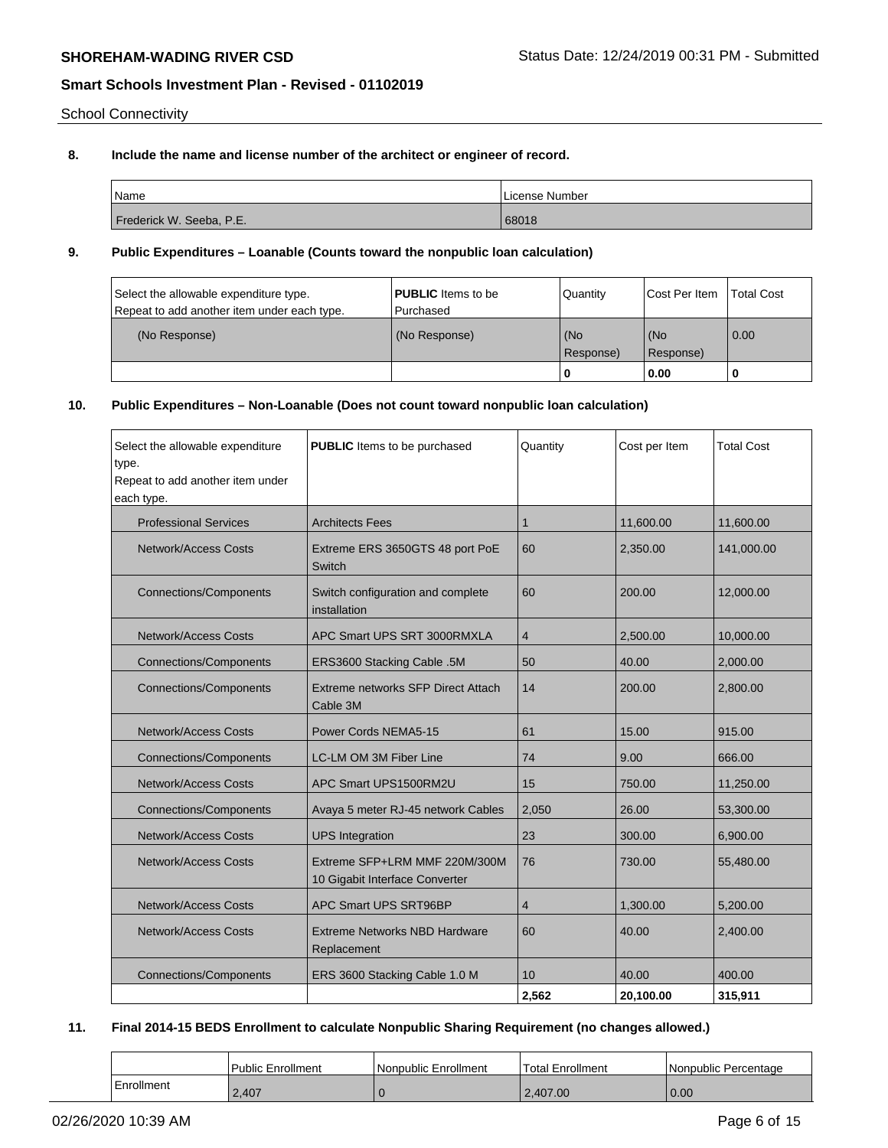School Connectivity

## **8. Include the name and license number of the architect or engineer of record.**

| Name                     | License Number |
|--------------------------|----------------|
| Frederick W. Seeba, P.E. | 68018          |

### **9. Public Expenditures – Loanable (Counts toward the nonpublic loan calculation)**

| Select the allowable expenditure type.<br>Repeat to add another item under each type. | <b>PUBLIC</b> Items to be<br>l Purchased | Quantity         | <b>ICost Per Item</b> | <b>Total Cost</b> |
|---------------------------------------------------------------------------------------|------------------------------------------|------------------|-----------------------|-------------------|
| (No Response)                                                                         | (No Response)                            | (No<br>Response) | (No<br>(Response)     | 0.00              |
|                                                                                       |                                          |                  | 0.00                  |                   |

# **10. Public Expenditures – Non-Loanable (Does not count toward nonpublic loan calculation)**

| Select the allowable expenditure<br>type.<br>Repeat to add another item under<br>each type. | <b>PUBLIC</b> Items to be purchased                             | Quantity       | Cost per Item | <b>Total Cost</b> |
|---------------------------------------------------------------------------------------------|-----------------------------------------------------------------|----------------|---------------|-------------------|
| <b>Professional Services</b>                                                                | <b>Architects Fees</b>                                          | 1              | 11,600.00     | 11,600.00         |
| <b>Network/Access Costs</b>                                                                 | Extreme ERS 3650GTS 48 port PoE<br><b>Switch</b>                | 60             | 2,350.00      | 141,000.00        |
| <b>Connections/Components</b>                                                               | Switch configuration and complete<br>installation               | 60             | 200.00        | 12,000.00         |
| <b>Network/Access Costs</b>                                                                 | APC Smart UPS SRT 3000RMXLA                                     | $\overline{4}$ | 2,500.00      | 10,000.00         |
| <b>Connections/Components</b>                                                               | ERS3600 Stacking Cable .5M                                      | 50             | 40.00         | 2,000.00          |
| <b>Connections/Components</b>                                                               | Extreme networks SFP Direct Attach<br>Cable 3M                  | 14             | 200.00        | 2,800.00          |
| <b>Network/Access Costs</b>                                                                 | Power Cords NEMA5-15                                            | 61             | 15.00         | 915.00            |
| <b>Connections/Components</b>                                                               | LC-LM OM 3M Fiber Line                                          | 74             | 9.00          | 666.00            |
| <b>Network/Access Costs</b>                                                                 | APC Smart UPS1500RM2U                                           | 15             | 750.00        | 11,250.00         |
| <b>Connections/Components</b>                                                               | Avaya 5 meter RJ-45 network Cables                              | 2,050          | 26.00         | 53,300.00         |
| <b>Network/Access Costs</b>                                                                 | <b>UPS</b> Integration                                          | 23             | 300.00        | 6,900.00          |
| <b>Network/Access Costs</b>                                                                 | Extreme SFP+LRM MMF 220M/300M<br>10 Gigabit Interface Converter | 76             | 730.00        | 55,480.00         |
| <b>Network/Access Costs</b>                                                                 | APC Smart UPS SRT96BP                                           | $\overline{4}$ | 1,300.00      | 5,200.00          |
| <b>Network/Access Costs</b>                                                                 | Extreme Networks NBD Hardware<br>Replacement                    | 60             | 40.00         | 2,400.00          |
| <b>Connections/Components</b>                                                               | ERS 3600 Stacking Cable 1.0 M                                   | 10             | 40.00         | 400.00            |
|                                                                                             |                                                                 | 2,562          | 20,100.00     | 315,911           |

# **11. Final 2014-15 BEDS Enrollment to calculate Nonpublic Sharing Requirement (no changes allowed.)**

|            | l Public Enrollment | Nonpublic Enrollment | <b>Total Enrollment</b> | Nonpublic Percentage |
|------------|---------------------|----------------------|-------------------------|----------------------|
| Enrollment | 2.407               |                      | 2.407.00                | 0.00                 |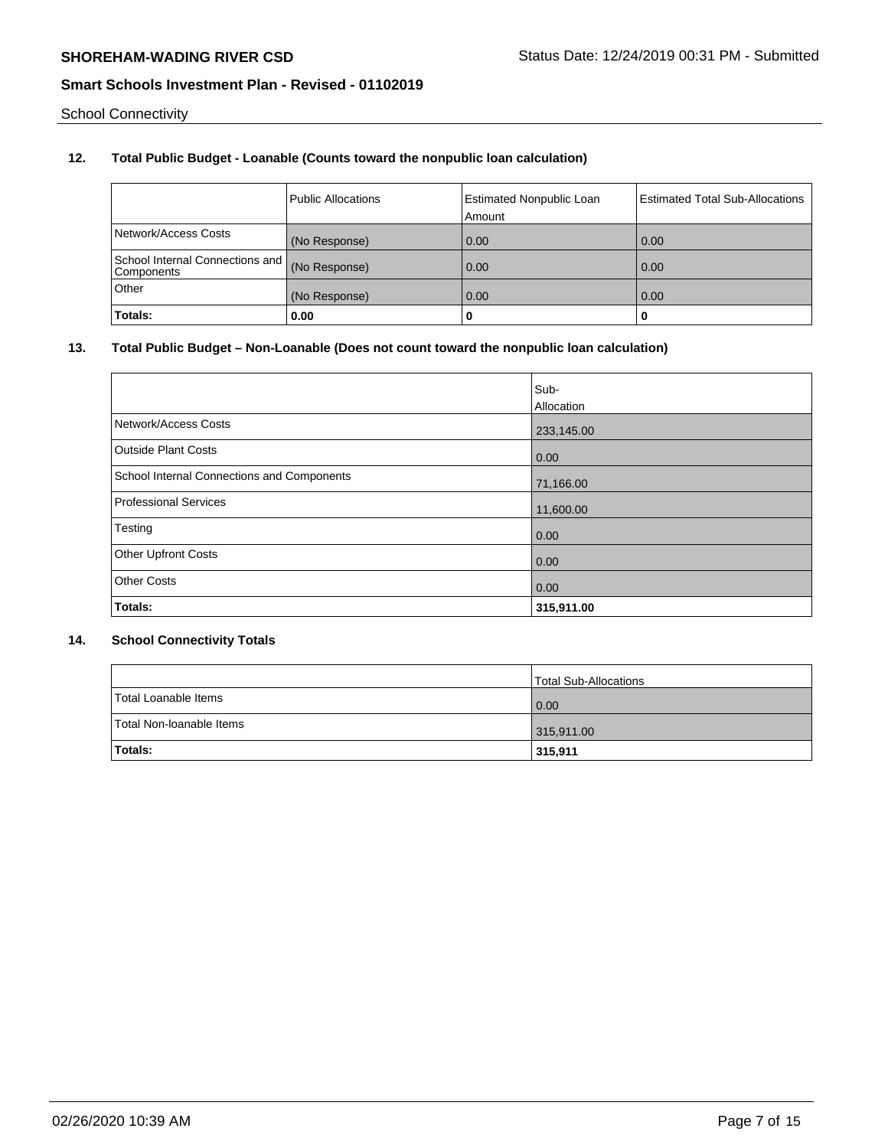School Connectivity

# **12. Total Public Budget - Loanable (Counts toward the nonpublic loan calculation)**

|                                               | Public Allocations | <b>Estimated Nonpublic Loan</b><br>Amount | Estimated Total Sub-Allocations |
|-----------------------------------------------|--------------------|-------------------------------------------|---------------------------------|
| Network/Access Costs                          | (No Response)      | 0.00                                      | 0.00                            |
| School Internal Connections and<br>Components | (No Response)      | 0.00                                      | 0.00                            |
| Other                                         | (No Response)      | 0.00                                      | 0.00                            |
| Totals:                                       | 0.00               |                                           |                                 |

### **13. Total Public Budget – Non-Loanable (Does not count toward the nonpublic loan calculation)**

|                                            | Sub-       |
|--------------------------------------------|------------|
|                                            | Allocation |
| Network/Access Costs                       | 233,145.00 |
| <b>Outside Plant Costs</b>                 | 0.00       |
| School Internal Connections and Components | 71,166.00  |
| Professional Services                      | 11,600.00  |
| Testing                                    | 0.00       |
| <b>Other Upfront Costs</b>                 | 0.00       |
| <b>Other Costs</b>                         | 0.00       |
| Totals:                                    | 315,911.00 |

# **14. School Connectivity Totals**

|                          | <b>Total Sub-Allocations</b> |
|--------------------------|------------------------------|
| Total Loanable Items     | 0.00                         |
| Total Non-Ioanable Items | 315,911.00                   |
| <b>Totals:</b>           | 315,911                      |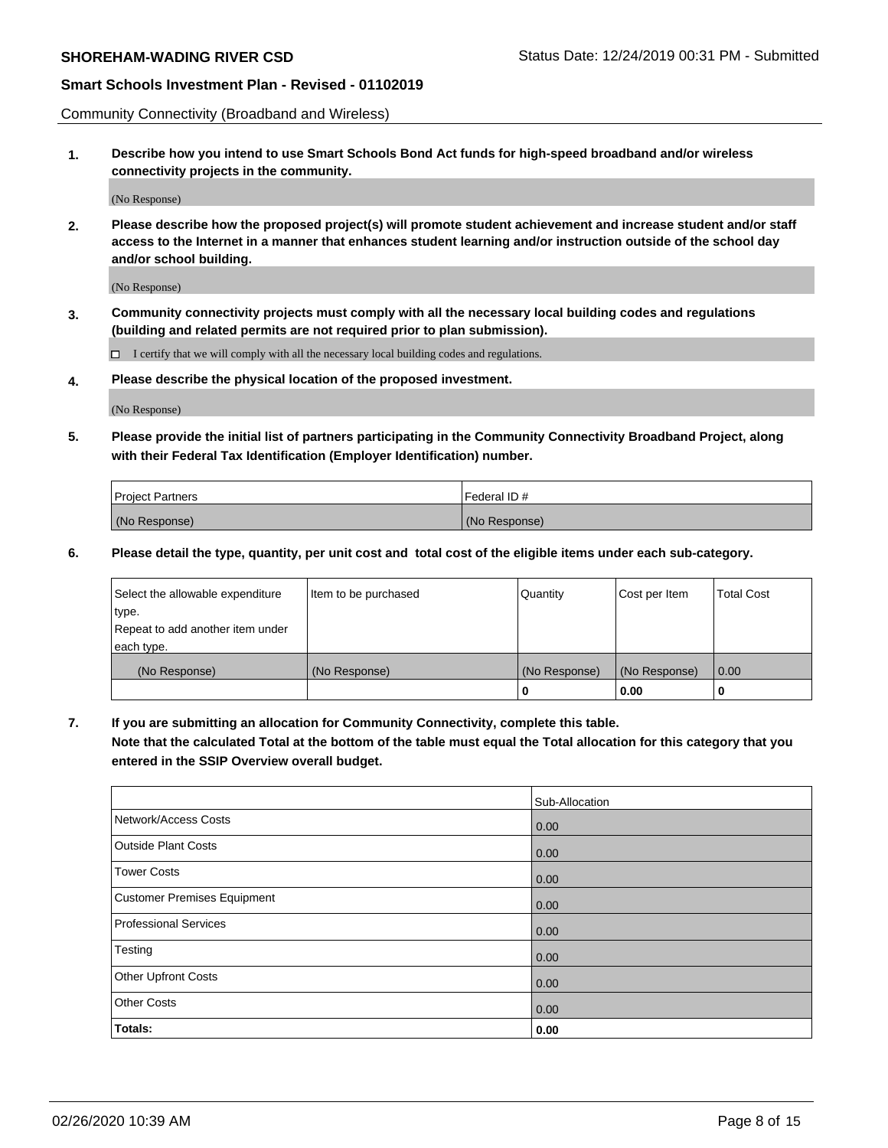Community Connectivity (Broadband and Wireless)

**1. Describe how you intend to use Smart Schools Bond Act funds for high-speed broadband and/or wireless connectivity projects in the community.**

(No Response)

**2. Please describe how the proposed project(s) will promote student achievement and increase student and/or staff access to the Internet in a manner that enhances student learning and/or instruction outside of the school day and/or school building.**

(No Response)

**3. Community connectivity projects must comply with all the necessary local building codes and regulations (building and related permits are not required prior to plan submission).**

 $\Box$  I certify that we will comply with all the necessary local building codes and regulations.

**4. Please describe the physical location of the proposed investment.**

(No Response)

**5. Please provide the initial list of partners participating in the Community Connectivity Broadband Project, along with their Federal Tax Identification (Employer Identification) number.**

| <b>Project Partners</b> | l Federal ID # |
|-------------------------|----------------|
| (No Response)           | (No Response)  |

**6. Please detail the type, quantity, per unit cost and total cost of the eligible items under each sub-category.**

| Select the allowable expenditure | Item to be purchased | Quantity      | Cost per Item | <b>Total Cost</b> |
|----------------------------------|----------------------|---------------|---------------|-------------------|
| type.                            |                      |               |               |                   |
| Repeat to add another item under |                      |               |               |                   |
| each type.                       |                      |               |               |                   |
| (No Response)                    | (No Response)        | (No Response) | (No Response) | 0.00              |
|                                  |                      | o             | 0.00          |                   |

**7. If you are submitting an allocation for Community Connectivity, complete this table.**

**Note that the calculated Total at the bottom of the table must equal the Total allocation for this category that you entered in the SSIP Overview overall budget.**

|                             | Sub-Allocation |
|-----------------------------|----------------|
| Network/Access Costs        | 0.00           |
| <b>Outside Plant Costs</b>  | 0.00           |
| <b>Tower Costs</b>          | 0.00           |
| Customer Premises Equipment | 0.00           |
| Professional Services       | 0.00           |
| Testing                     | 0.00           |
| <b>Other Upfront Costs</b>  | 0.00           |
| <b>Other Costs</b>          | 0.00           |
| Totals:                     | 0.00           |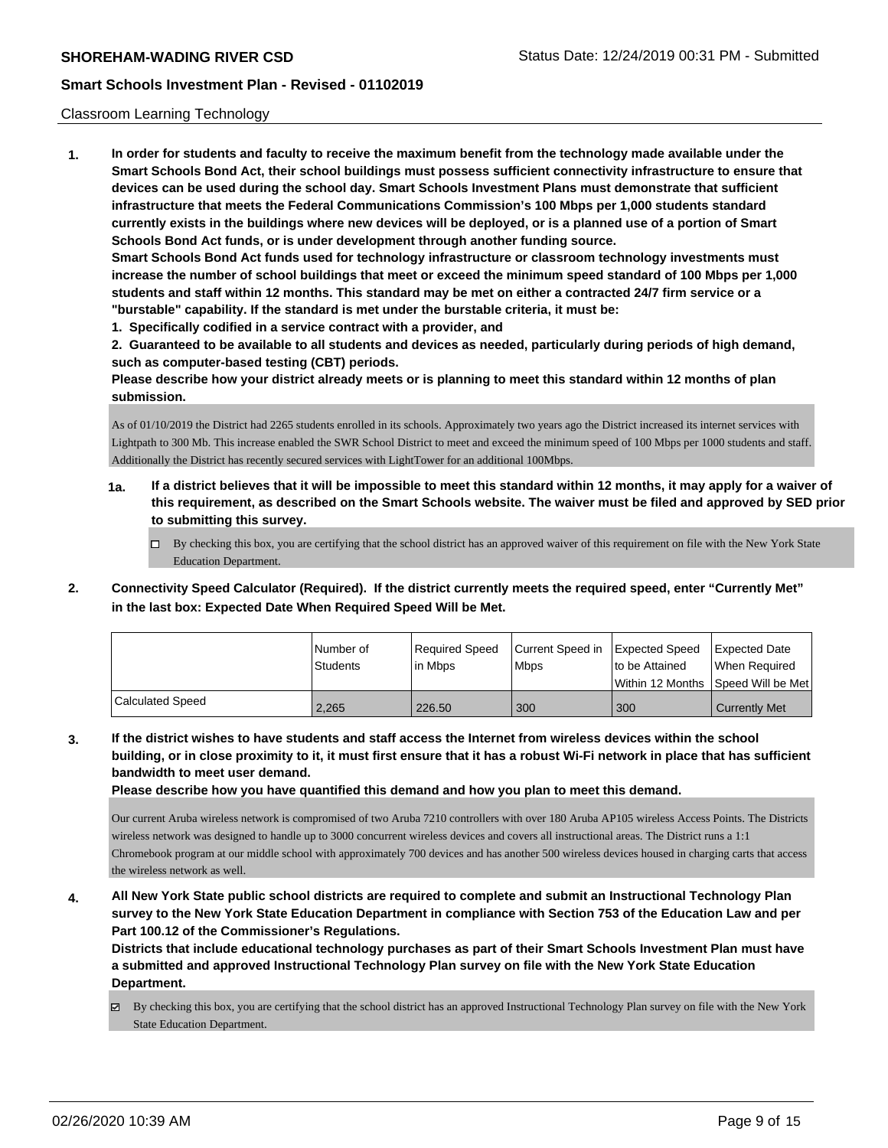#### Classroom Learning Technology

**1. In order for students and faculty to receive the maximum benefit from the technology made available under the Smart Schools Bond Act, their school buildings must possess sufficient connectivity infrastructure to ensure that devices can be used during the school day. Smart Schools Investment Plans must demonstrate that sufficient infrastructure that meets the Federal Communications Commission's 100 Mbps per 1,000 students standard currently exists in the buildings where new devices will be deployed, or is a planned use of a portion of Smart Schools Bond Act funds, or is under development through another funding source. Smart Schools Bond Act funds used for technology infrastructure or classroom technology investments must increase the number of school buildings that meet or exceed the minimum speed standard of 100 Mbps per 1,000 students and staff within 12 months. This standard may be met on either a contracted 24/7 firm service or a "burstable" capability. If the standard is met under the burstable criteria, it must be:**

**1. Specifically codified in a service contract with a provider, and**

**2. Guaranteed to be available to all students and devices as needed, particularly during periods of high demand, such as computer-based testing (CBT) periods.**

**Please describe how your district already meets or is planning to meet this standard within 12 months of plan submission.**

As of 01/10/2019 the District had 2265 students enrolled in its schools. Approximately two years ago the District increased its internet services with Lightpath to 300 Mb. This increase enabled the SWR School District to meet and exceed the minimum speed of 100 Mbps per 1000 students and staff. Additionally the District has recently secured services with LightTower for an additional 100Mbps.

- **1a. If a district believes that it will be impossible to meet this standard within 12 months, it may apply for a waiver of this requirement, as described on the Smart Schools website. The waiver must be filed and approved by SED prior to submitting this survey.**
	- By checking this box, you are certifying that the school district has an approved waiver of this requirement on file with the New York State Education Department.
- **2. Connectivity Speed Calculator (Required). If the district currently meets the required speed, enter "Currently Met" in the last box: Expected Date When Required Speed Will be Met.**

|                  | l Number of<br>Students | Required Speed<br>lin Mbps | Current Speed in Expected Speed<br><b>Mbps</b> | to be Attained   | Expected Date<br>When Reauired |
|------------------|-------------------------|----------------------------|------------------------------------------------|------------------|--------------------------------|
|                  |                         |                            |                                                | Within 12 Months | Speed Will be Met              |
| Calculated Speed | 2.265                   | 226.50                     | 300                                            | 300              | <b>Currently Met</b>           |

**3. If the district wishes to have students and staff access the Internet from wireless devices within the school building, or in close proximity to it, it must first ensure that it has a robust Wi-Fi network in place that has sufficient bandwidth to meet user demand.**

**Please describe how you have quantified this demand and how you plan to meet this demand.**

Our current Aruba wireless network is compromised of two Aruba 7210 controllers with over 180 Aruba AP105 wireless Access Points. The Districts wireless network was designed to handle up to 3000 concurrent wireless devices and covers all instructional areas. The District runs a 1:1 Chromebook program at our middle school with approximately 700 devices and has another 500 wireless devices housed in charging carts that access the wireless network as well.

**4. All New York State public school districts are required to complete and submit an Instructional Technology Plan survey to the New York State Education Department in compliance with Section 753 of the Education Law and per Part 100.12 of the Commissioner's Regulations.**

**Districts that include educational technology purchases as part of their Smart Schools Investment Plan must have a submitted and approved Instructional Technology Plan survey on file with the New York State Education Department.**

 $\boxtimes$  By checking this box, you are certifying that the school district has an approved Instructional Technology Plan survey on file with the New York State Education Department.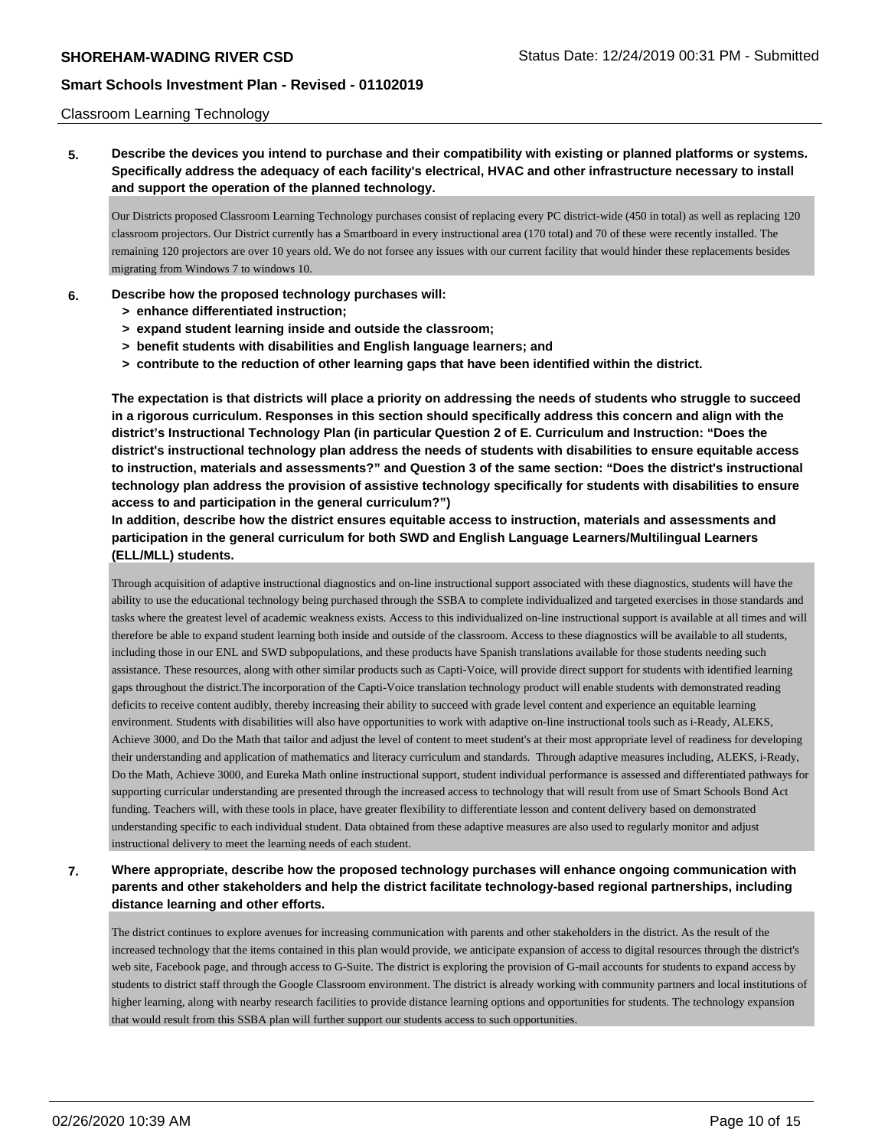### Classroom Learning Technology

# **5. Describe the devices you intend to purchase and their compatibility with existing or planned platforms or systems. Specifically address the adequacy of each facility's electrical, HVAC and other infrastructure necessary to install and support the operation of the planned technology.**

Our Districts proposed Classroom Learning Technology purchases consist of replacing every PC district-wide (450 in total) as well as replacing 120 classroom projectors. Our District currently has a Smartboard in every instructional area (170 total) and 70 of these were recently installed. The remaining 120 projectors are over 10 years old. We do not forsee any issues with our current facility that would hinder these replacements besides migrating from Windows 7 to windows 10.

### **6. Describe how the proposed technology purchases will:**

- **> enhance differentiated instruction;**
- **> expand student learning inside and outside the classroom;**
- **> benefit students with disabilities and English language learners; and**
- **> contribute to the reduction of other learning gaps that have been identified within the district.**

**The expectation is that districts will place a priority on addressing the needs of students who struggle to succeed in a rigorous curriculum. Responses in this section should specifically address this concern and align with the district's Instructional Technology Plan (in particular Question 2 of E. Curriculum and Instruction: "Does the district's instructional technology plan address the needs of students with disabilities to ensure equitable access to instruction, materials and assessments?" and Question 3 of the same section: "Does the district's instructional technology plan address the provision of assistive technology specifically for students with disabilities to ensure access to and participation in the general curriculum?")**

**In addition, describe how the district ensures equitable access to instruction, materials and assessments and participation in the general curriculum for both SWD and English Language Learners/Multilingual Learners (ELL/MLL) students.**

Through acquisition of adaptive instructional diagnostics and on-line instructional support associated with these diagnostics, students will have the ability to use the educational technology being purchased through the SSBA to complete individualized and targeted exercises in those standards and tasks where the greatest level of academic weakness exists. Access to this individualized on-line instructional support is available at all times and will therefore be able to expand student learning both inside and outside of the classroom. Access to these diagnostics will be available to all students, including those in our ENL and SWD subpopulations, and these products have Spanish translations available for those students needing such assistance. These resources, along with other similar products such as Capti-Voice, will provide direct support for students with identified learning gaps throughout the district.The incorporation of the Capti-Voice translation technology product will enable students with demonstrated reading deficits to receive content audibly, thereby increasing their ability to succeed with grade level content and experience an equitable learning environment. Students with disabilities will also have opportunities to work with adaptive on-line instructional tools such as i-Ready, ALEKS, Achieve 3000, and Do the Math that tailor and adjust the level of content to meet student's at their most appropriate level of readiness for developing their understanding and application of mathematics and literacy curriculum and standards. Through adaptive measures including, ALEKS, i-Ready, Do the Math, Achieve 3000, and Eureka Math online instructional support, student individual performance is assessed and differentiated pathways for supporting curricular understanding are presented through the increased access to technology that will result from use of Smart Schools Bond Act funding. Teachers will, with these tools in place, have greater flexibility to differentiate lesson and content delivery based on demonstrated understanding specific to each individual student. Data obtained from these adaptive measures are also used to regularly monitor and adjust instructional delivery to meet the learning needs of each student.

# **7. Where appropriate, describe how the proposed technology purchases will enhance ongoing communication with parents and other stakeholders and help the district facilitate technology-based regional partnerships, including distance learning and other efforts.**

The district continues to explore avenues for increasing communication with parents and other stakeholders in the district. As the result of the increased technology that the items contained in this plan would provide, we anticipate expansion of access to digital resources through the district's web site, Facebook page, and through access to G-Suite. The district is exploring the provision of G-mail accounts for students to expand access by students to district staff through the Google Classroom environment. The district is already working with community partners and local institutions of higher learning, along with nearby research facilities to provide distance learning options and opportunities for students. The technology expansion that would result from this SSBA plan will further support our students access to such opportunities.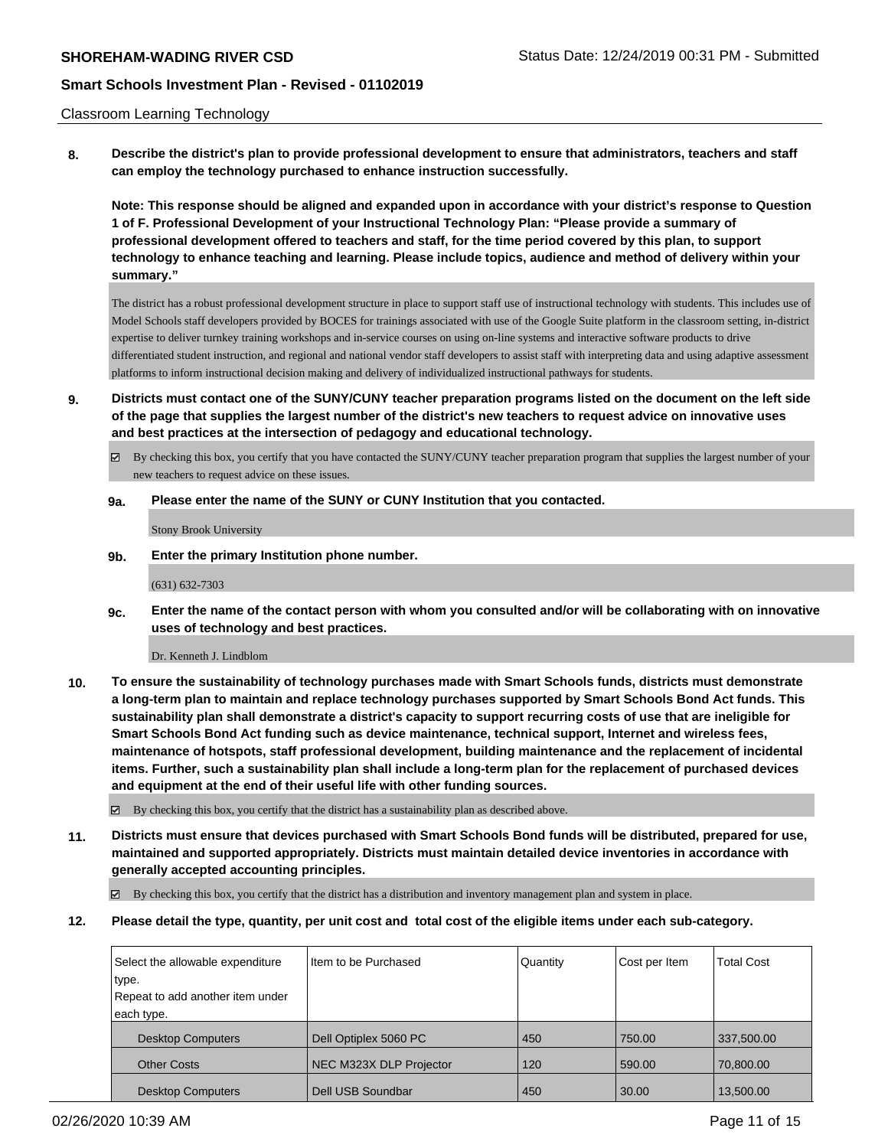#### Classroom Learning Technology

**8. Describe the district's plan to provide professional development to ensure that administrators, teachers and staff can employ the technology purchased to enhance instruction successfully.**

**Note: This response should be aligned and expanded upon in accordance with your district's response to Question 1 of F. Professional Development of your Instructional Technology Plan: "Please provide a summary of professional development offered to teachers and staff, for the time period covered by this plan, to support technology to enhance teaching and learning. Please include topics, audience and method of delivery within your summary."**

The district has a robust professional development structure in place to support staff use of instructional technology with students. This includes use of Model Schools staff developers provided by BOCES for trainings associated with use of the Google Suite platform in the classroom setting, in-district expertise to deliver turnkey training workshops and in-service courses on using on-line systems and interactive software products to drive differentiated student instruction, and regional and national vendor staff developers to assist staff with interpreting data and using adaptive assessment platforms to inform instructional decision making and delivery of individualized instructional pathways for students.

- **9. Districts must contact one of the SUNY/CUNY teacher preparation programs listed on the document on the left side of the page that supplies the largest number of the district's new teachers to request advice on innovative uses and best practices at the intersection of pedagogy and educational technology.**
	- By checking this box, you certify that you have contacted the SUNY/CUNY teacher preparation program that supplies the largest number of your new teachers to request advice on these issues.

#### **9a. Please enter the name of the SUNY or CUNY Institution that you contacted.**

Stony Brook University

**9b. Enter the primary Institution phone number.**

(631) 632-7303

**9c. Enter the name of the contact person with whom you consulted and/or will be collaborating with on innovative uses of technology and best practices.**

Dr. Kenneth J. Lindblom

**10. To ensure the sustainability of technology purchases made with Smart Schools funds, districts must demonstrate a long-term plan to maintain and replace technology purchases supported by Smart Schools Bond Act funds. This sustainability plan shall demonstrate a district's capacity to support recurring costs of use that are ineligible for Smart Schools Bond Act funding such as device maintenance, technical support, Internet and wireless fees, maintenance of hotspots, staff professional development, building maintenance and the replacement of incidental items. Further, such a sustainability plan shall include a long-term plan for the replacement of purchased devices and equipment at the end of their useful life with other funding sources.**

 $\boxtimes$  By checking this box, you certify that the district has a sustainability plan as described above.

**11. Districts must ensure that devices purchased with Smart Schools Bond funds will be distributed, prepared for use, maintained and supported appropriately. Districts must maintain detailed device inventories in accordance with generally accepted accounting principles.**

By checking this box, you certify that the district has a distribution and inventory management plan and system in place.

**12. Please detail the type, quantity, per unit cost and total cost of the eligible items under each sub-category.**

| Select the allowable expenditure | Iltem to be Purchased   | Quantity | Cost per Item | <b>Total Cost</b> |
|----------------------------------|-------------------------|----------|---------------|-------------------|
| type.                            |                         |          |               |                   |
| Repeat to add another item under |                         |          |               |                   |
| each type.                       |                         |          |               |                   |
| <b>Desktop Computers</b>         | Dell Optiplex 5060 PC   | 450      | 750.00        | 337,500.00        |
| <b>Other Costs</b>               | NEC M323X DLP Projector | 120      | 590.00        | 70,800.00         |
| <b>Desktop Computers</b>         | Dell USB Soundbar       | 450      | 30.00         | 13,500.00         |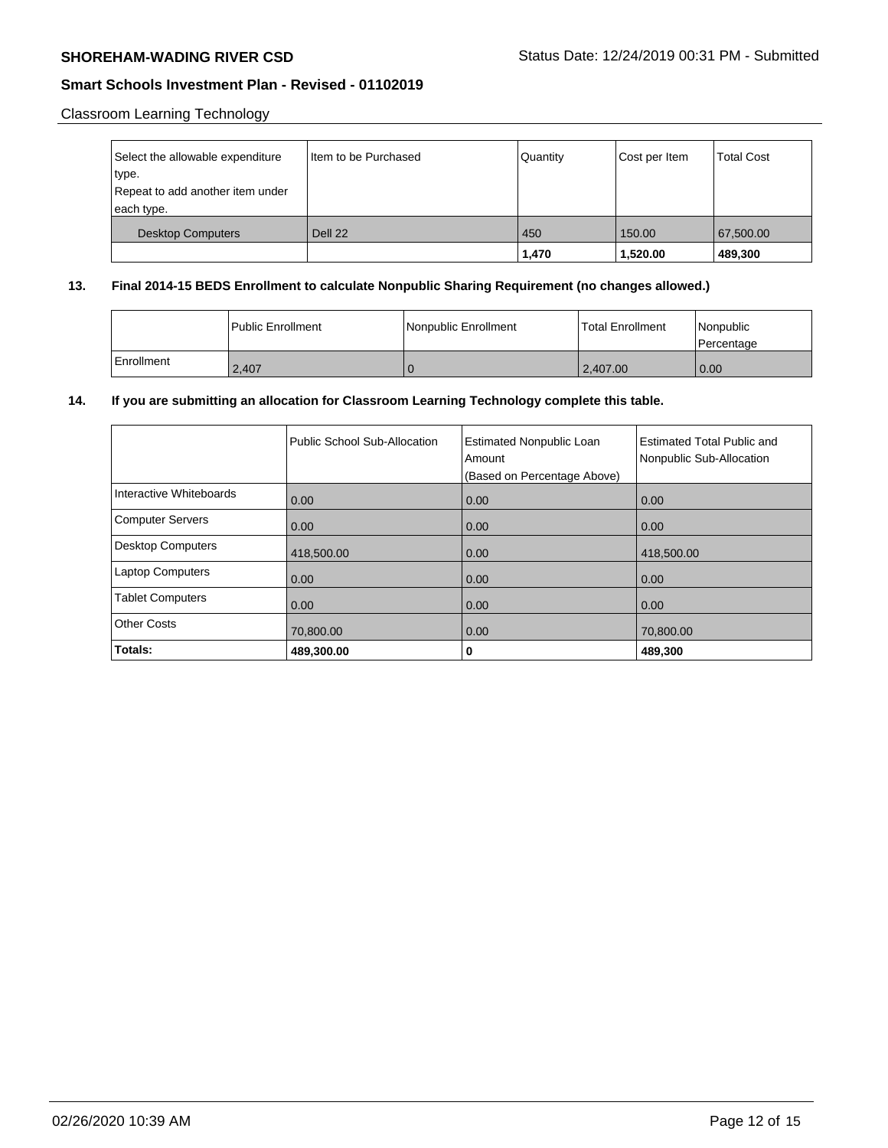# Classroom Learning Technology

| Select the allowable expenditure<br>type.<br>Repeat to add another item under<br>each type. | Item to be Purchased | Quantity | Cost per Item | <b>Total Cost</b> |
|---------------------------------------------------------------------------------------------|----------------------|----------|---------------|-------------------|
| <b>Desktop Computers</b>                                                                    | Dell 22              | 450      | 150.00        | 67,500.00         |
|                                                                                             |                      | 1,470    | 1,520.00      | 489,300           |

## **13. Final 2014-15 BEDS Enrollment to calculate Nonpublic Sharing Requirement (no changes allowed.)**

|            | <b>Public Enrollment</b> | Nonpublic Enrollment | <b>Total Enrollment</b> | Nonpublic<br>l Percentage |
|------------|--------------------------|----------------------|-------------------------|---------------------------|
| Enrollment | 2.407                    |                      | 2.407.00                | 0.00                      |

## **14. If you are submitting an allocation for Classroom Learning Technology complete this table.**

|                         | Public School Sub-Allocation | <b>Estimated Nonpublic Loan</b><br>Amount<br>(Based on Percentage Above) | <b>Estimated Total Public and</b><br>Nonpublic Sub-Allocation |
|-------------------------|------------------------------|--------------------------------------------------------------------------|---------------------------------------------------------------|
| Interactive Whiteboards | 0.00                         | 0.00                                                                     | 0.00                                                          |
| Computer Servers        | 0.00                         | 0.00                                                                     | 0.00                                                          |
| Desktop Computers       | 418,500.00                   | 0.00                                                                     | 418,500.00                                                    |
| Laptop Computers        | 0.00                         | 0.00                                                                     | 0.00                                                          |
| <b>Tablet Computers</b> | 0.00                         | 0.00                                                                     | 0.00                                                          |
| <b>Other Costs</b>      | 70,800.00                    | 0.00                                                                     | 70,800.00                                                     |
| Totals:                 | 489,300.00                   | 0                                                                        | 489,300                                                       |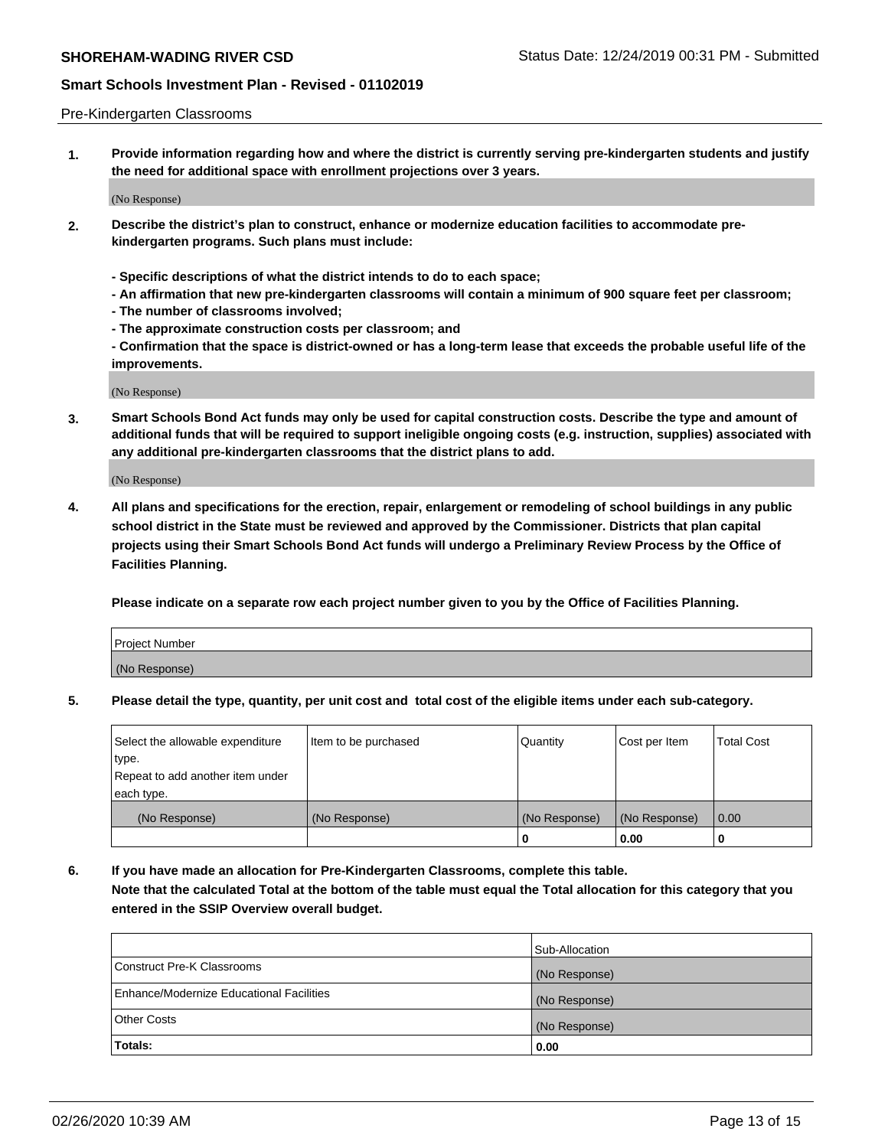### Pre-Kindergarten Classrooms

**1. Provide information regarding how and where the district is currently serving pre-kindergarten students and justify the need for additional space with enrollment projections over 3 years.**

(No Response)

- **2. Describe the district's plan to construct, enhance or modernize education facilities to accommodate prekindergarten programs. Such plans must include:**
	- **Specific descriptions of what the district intends to do to each space;**
	- **An affirmation that new pre-kindergarten classrooms will contain a minimum of 900 square feet per classroom;**
	- **The number of classrooms involved;**
	- **The approximate construction costs per classroom; and**
	- **Confirmation that the space is district-owned or has a long-term lease that exceeds the probable useful life of the improvements.**

(No Response)

**3. Smart Schools Bond Act funds may only be used for capital construction costs. Describe the type and amount of additional funds that will be required to support ineligible ongoing costs (e.g. instruction, supplies) associated with any additional pre-kindergarten classrooms that the district plans to add.**

(No Response)

**4. All plans and specifications for the erection, repair, enlargement or remodeling of school buildings in any public school district in the State must be reviewed and approved by the Commissioner. Districts that plan capital projects using their Smart Schools Bond Act funds will undergo a Preliminary Review Process by the Office of Facilities Planning.**

**Please indicate on a separate row each project number given to you by the Office of Facilities Planning.**

| Project Number |  |
|----------------|--|
| (No Response)  |  |
|                |  |

**5. Please detail the type, quantity, per unit cost and total cost of the eligible items under each sub-category.**

| Select the allowable expenditure | Item to be purchased | Quantity      | Cost per Item | <b>Total Cost</b> |
|----------------------------------|----------------------|---------------|---------------|-------------------|
| type.                            |                      |               |               |                   |
| Repeat to add another item under |                      |               |               |                   |
| each type.                       |                      |               |               |                   |
| (No Response)                    | (No Response)        | (No Response) | (No Response) | 0.00              |
|                                  |                      | U             | 0.00          |                   |

**6. If you have made an allocation for Pre-Kindergarten Classrooms, complete this table. Note that the calculated Total at the bottom of the table must equal the Total allocation for this category that you entered in the SSIP Overview overall budget.**

|                                          | Sub-Allocation |
|------------------------------------------|----------------|
| Construct Pre-K Classrooms               | (No Response)  |
| Enhance/Modernize Educational Facilities | (No Response)  |
| <b>Other Costs</b>                       | (No Response)  |
| Totals:                                  | 0.00           |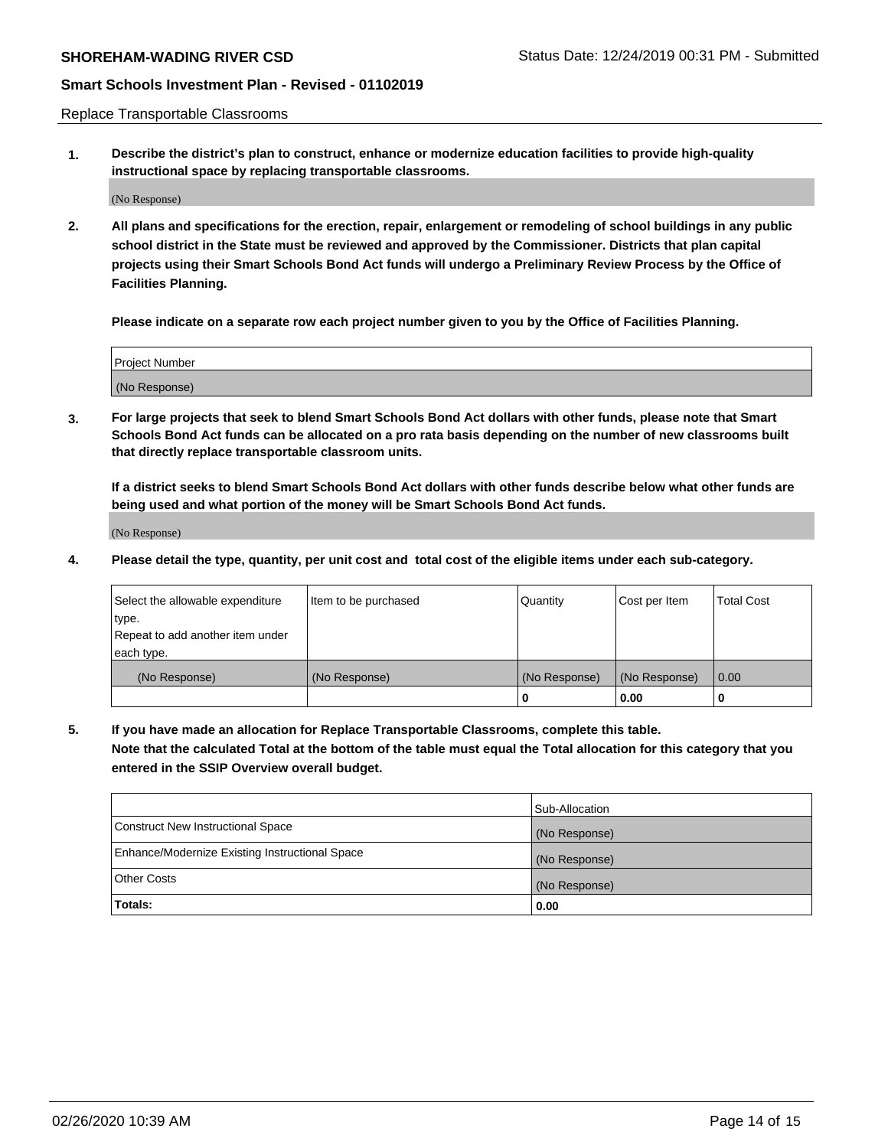Replace Transportable Classrooms

**1. Describe the district's plan to construct, enhance or modernize education facilities to provide high-quality instructional space by replacing transportable classrooms.**

(No Response)

**2. All plans and specifications for the erection, repair, enlargement or remodeling of school buildings in any public school district in the State must be reviewed and approved by the Commissioner. Districts that plan capital projects using their Smart Schools Bond Act funds will undergo a Preliminary Review Process by the Office of Facilities Planning.**

**Please indicate on a separate row each project number given to you by the Office of Facilities Planning.**

| Project Number |  |
|----------------|--|
|                |  |
|                |  |
|                |  |
| (No Response)  |  |
|                |  |
|                |  |

**3. For large projects that seek to blend Smart Schools Bond Act dollars with other funds, please note that Smart Schools Bond Act funds can be allocated on a pro rata basis depending on the number of new classrooms built that directly replace transportable classroom units.**

**If a district seeks to blend Smart Schools Bond Act dollars with other funds describe below what other funds are being used and what portion of the money will be Smart Schools Bond Act funds.**

(No Response)

**4. Please detail the type, quantity, per unit cost and total cost of the eligible items under each sub-category.**

| Select the allowable expenditure | Item to be purchased | Quantity      | Cost per Item | Total Cost |
|----------------------------------|----------------------|---------------|---------------|------------|
| ∣type.                           |                      |               |               |            |
| Repeat to add another item under |                      |               |               |            |
| each type.                       |                      |               |               |            |
| (No Response)                    | (No Response)        | (No Response) | (No Response) | 0.00       |
|                                  |                      | u             | 0.00          |            |

**5. If you have made an allocation for Replace Transportable Classrooms, complete this table. Note that the calculated Total at the bottom of the table must equal the Total allocation for this category that you entered in the SSIP Overview overall budget.**

|                                                | Sub-Allocation |
|------------------------------------------------|----------------|
| Construct New Instructional Space              | (No Response)  |
| Enhance/Modernize Existing Instructional Space | (No Response)  |
| Other Costs                                    | (No Response)  |
| Totals:                                        | 0.00           |